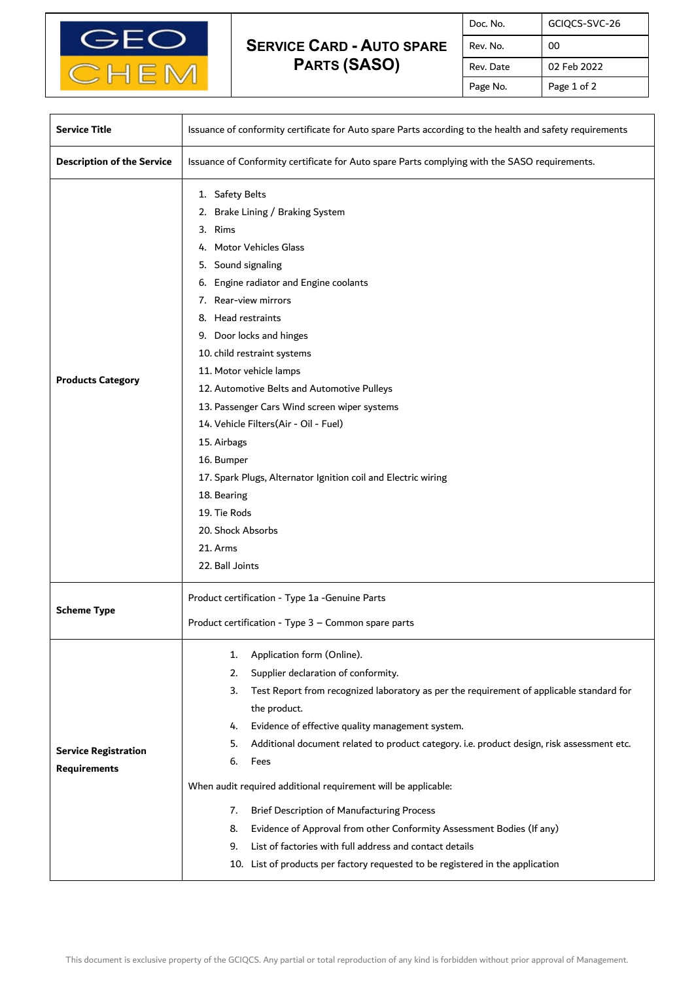

## **SERVICE CARD - AUTO SPARE PARTS (SASO)**

| Doc. No.  | GCIQCS-SVC-26 |
|-----------|---------------|
| Rev. No.  | 00            |
| Rev. Date | 02 Feb 2022   |
| Page No.  | Page 1 of 2   |

| <b>Service Title</b>                               | Issuance of conformity certificate for Auto spare Parts according to the health and safety requirements                                                                                                                                                                                                                                                                                                                                                                                                                                                                                                                                                                                                                             |  |
|----------------------------------------------------|-------------------------------------------------------------------------------------------------------------------------------------------------------------------------------------------------------------------------------------------------------------------------------------------------------------------------------------------------------------------------------------------------------------------------------------------------------------------------------------------------------------------------------------------------------------------------------------------------------------------------------------------------------------------------------------------------------------------------------------|--|
| <b>Description of the Service</b>                  | Issuance of Conformity certificate for Auto spare Parts complying with the SASO requirements.                                                                                                                                                                                                                                                                                                                                                                                                                                                                                                                                                                                                                                       |  |
| <b>Products Category</b>                           | 1. Safety Belts<br>2. Brake Lining / Braking System<br>3. Rims<br><b>Motor Vehicles Glass</b><br>4.<br>5. Sound signaling<br>Engine radiator and Engine coolants<br>6.<br>7. Rear-view mirrors<br>8. Head restraints<br>9. Door locks and hinges<br>10. child restraint systems<br>11. Motor vehicle lamps<br>12. Automotive Belts and Automotive Pulleys<br>13. Passenger Cars Wind screen wiper systems<br>14. Vehicle Filters(Air - Oil - Fuel)<br>15. Airbags<br>16. Bumper<br>17. Spark Plugs, Alternator Ignition coil and Electric wiring<br>18. Bearing<br>19. Tie Rods<br>20. Shock Absorbs<br>21. Arms<br>22. Ball Joints                                                                                                 |  |
| <b>Scheme Type</b>                                 | Product certification - Type 1a -Genuine Parts<br>Product certification - Type 3 - Common spare parts                                                                                                                                                                                                                                                                                                                                                                                                                                                                                                                                                                                                                               |  |
| <b>Service Registration</b><br><b>Requirements</b> | Application form (Online).<br>1.<br>Supplier declaration of conformity.<br>2.<br>Test Report from recognized laboratory as per the requirement of applicable standard for<br>3.<br>the product.<br>Evidence of effective quality management system.<br>4.<br>Additional document related to product category. i.e. product design, risk assessment etc.<br>5.<br>6.<br>Fees<br>When audit required additional requirement will be applicable:<br>Brief Description of Manufacturing Process<br>7.<br>Evidence of Approval from other Conformity Assessment Bodies (If any)<br>8.<br>List of factories with full address and contact details<br>9.<br>10. List of products per factory requested to be registered in the application |  |